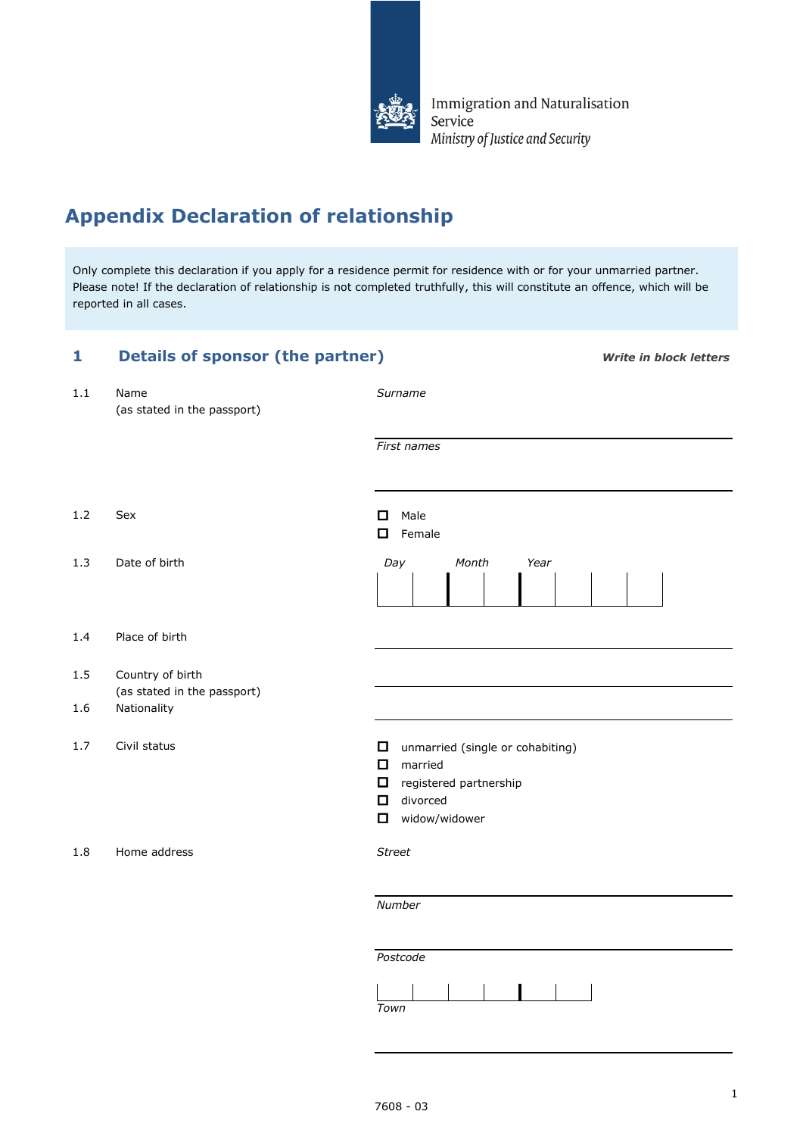

Immigration and Naturalisation Service Ministry of Justice and Security

# **Appendix Declaration of relationship**

Only complete this declaration if you apply for a residence permit for residence with or for your unmarried partner. Please note! If the declaration of relationship is not completed truthfully, this will constitute an offence, which will be reported in all cases.

| 1              | <b>Details of sponsor (the partner)</b>                        | <b>Write in block letters</b>                                                                                                                        |
|----------------|----------------------------------------------------------------|------------------------------------------------------------------------------------------------------------------------------------------------------|
| 1.1            | Name<br>(as stated in the passport)                            | Surname                                                                                                                                              |
|                |                                                                | First names                                                                                                                                          |
| 1.2            | Sex                                                            | $\Box$<br>Male<br>Female<br>0                                                                                                                        |
| 1.3            | Date of birth                                                  | Day<br>Month<br>Year                                                                                                                                 |
| 1.4            | Place of birth                                                 |                                                                                                                                                      |
| $1.5\,$<br>1.6 | Country of birth<br>(as stated in the passport)<br>Nationality |                                                                                                                                                      |
| 1.7            | Civil status                                                   | $\Box$<br>unmarried (single or cohabiting)<br>$\Box$<br>married<br>$\Box$<br>registered partnership<br>divorced<br>$\Box$<br>widow/widower<br>$\Box$ |
| 1.8            | Home address                                                   | <b>Street</b>                                                                                                                                        |
|                |                                                                | Number                                                                                                                                               |
|                |                                                                | Postcode<br>Town                                                                                                                                     |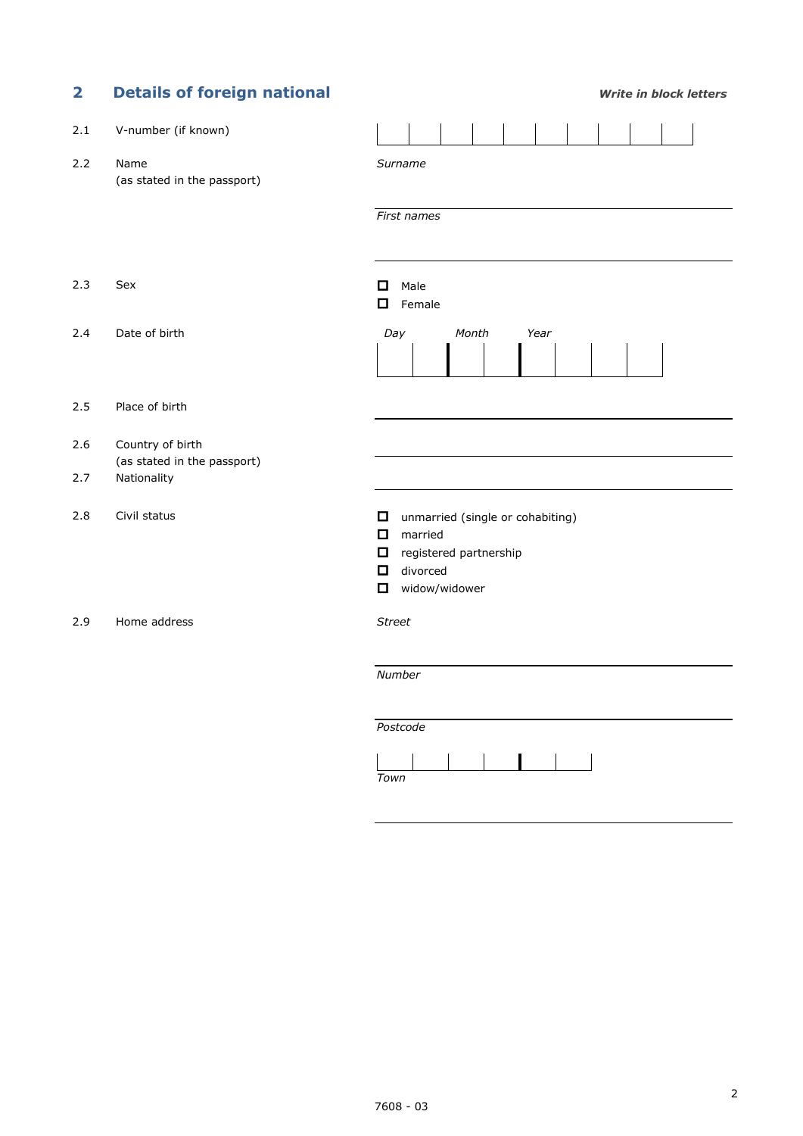| $\overline{\mathbf{2}}$ | <b>Details of foreign national</b>                             | <b>Write in block letters</b>                                                                                                    |
|-------------------------|----------------------------------------------------------------|----------------------------------------------------------------------------------------------------------------------------------|
| 2.1                     | V-number (if known)                                            |                                                                                                                                  |
| 2.2                     | Name<br>(as stated in the passport)                            | Surname                                                                                                                          |
|                         |                                                                | First names                                                                                                                      |
| 2.3                     | Sex                                                            | Male<br>O<br>Female<br>O                                                                                                         |
| 2.4                     | Date of birth                                                  | Month<br>Day<br>Year                                                                                                             |
| 2.5                     | Place of birth                                                 |                                                                                                                                  |
| 2.6<br>2.7              | Country of birth<br>(as stated in the passport)<br>Nationality |                                                                                                                                  |
| 2.8                     | Civil status                                                   | unmarried (single or cohabiting)<br>0<br>О<br>married<br>□<br>registered partnership<br>divorced<br>0<br>widow/widower<br>$\Box$ |
| 2.9                     | Home address                                                   | <b>Street</b>                                                                                                                    |
|                         |                                                                | Number                                                                                                                           |
|                         |                                                                | Postcode<br>Town                                                                                                                 |

| own |  |
|-----|--|